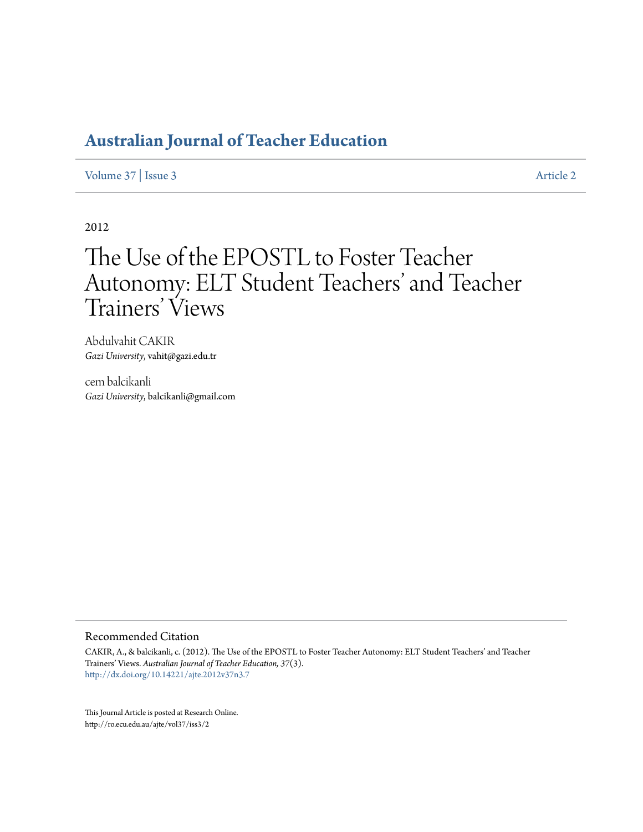## **[Australian Journal of Teacher Education](http://ro.ecu.edu.au/ajte)**

[Volume 37](http://ro.ecu.edu.au/ajte/vol37) | [Issue 3](http://ro.ecu.edu.au/ajte/vol37/iss3) [Article 2](http://ro.ecu.edu.au/ajte/vol37/iss3/2)

2012

# The Use of the EPOSTL to Foster Teacher Autonomy: ELT Student Teachers' and Teacher Trainers' Views

Abdulvahit CAKIR *Gazi University*, vahit@gazi.edu.tr

cem balcikanli *Gazi University*, balcikanli@gmail.com

#### Recommended Citation

CAKIR, A., & balcikanli, c. (2012). The Use of the EPOSTL to Foster Teacher Autonomy: ELT Student Teachers' and Teacher Trainers' Views. *Australian Journal of Teacher Education, 37*(3). <http://dx.doi.org/10.14221/ajte.2012v37n3.7>

This Journal Article is posted at Research Online. http://ro.ecu.edu.au/ajte/vol37/iss3/2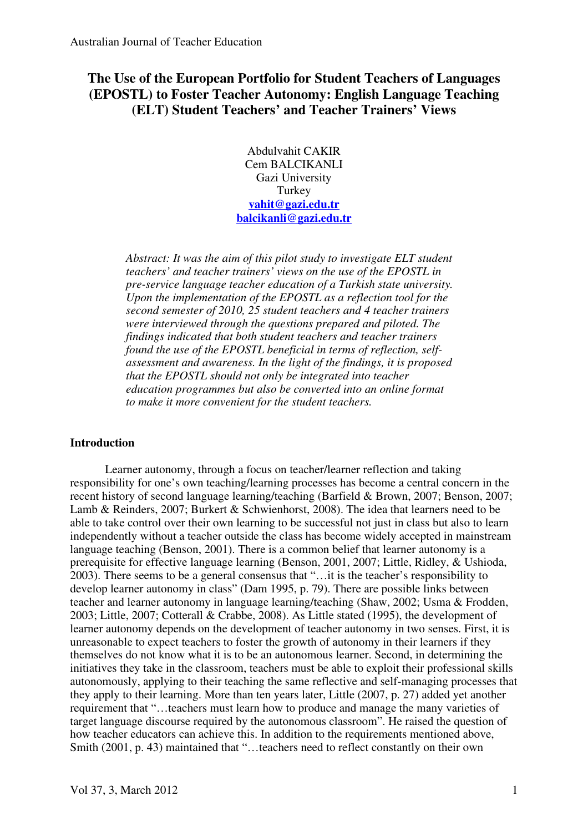### **The Use of the European Portfolio for Student Teachers of Languages (EPOSTL) to Foster Teacher Autonomy: English Language Teaching (ELT) Student Teachers' and Teacher Trainers' Views**

Abdulvahit CAKIR Cem BALCIKANLI Gazi University Turkey **vahit@gazi.edu.tr balcikanli@gazi.edu.tr**

*Abstract: It was the aim of this pilot study to investigate ELT student teachers' and teacher trainers' views on the use of the EPOSTL in pre-service language teacher education of a Turkish state university. Upon the implementation of the EPOSTL as a reflection tool for the second semester of 2010, 25 student teachers and 4 teacher trainers were interviewed through the questions prepared and piloted. The findings indicated that both student teachers and teacher trainers found the use of the EPOSTL beneficial in terms of reflection, selfassessment and awareness. In the light of the findings, it is proposed that the EPOSTL should not only be integrated into teacher education programmes but also be converted into an online format to make it more convenient for the student teachers.* 

#### **Introduction**

Learner autonomy, through a focus on teacher/learner reflection and taking responsibility for one's own teaching/learning processes has become a central concern in the recent history of second language learning/teaching (Barfield & Brown, 2007; Benson, 2007; Lamb & Reinders, 2007; Burkert & Schwienhorst, 2008). The idea that learners need to be able to take control over their own learning to be successful not just in class but also to learn independently without a teacher outside the class has become widely accepted in mainstream language teaching (Benson, 2001). There is a common belief that learner autonomy is a prerequisite for effective language learning (Benson, 2001, 2007; Little, Ridley, & Ushioda, 2003). There seems to be a general consensus that "…it is the teacher's responsibility to develop learner autonomy in class" (Dam 1995, p. 79). There are possible links between teacher and learner autonomy in language learning/teaching (Shaw, 2002; Usma & Frodden, 2003; Little, 2007; Cotterall & Crabbe, 2008). As Little stated (1995), the development of learner autonomy depends on the development of teacher autonomy in two senses. First, it is unreasonable to expect teachers to foster the growth of autonomy in their learners if they themselves do not know what it is to be an autonomous learner. Second, in determining the initiatives they take in the classroom, teachers must be able to exploit their professional skills autonomously, applying to their teaching the same reflective and self-managing processes that they apply to their learning. More than ten years later, Little (2007, p. 27) added yet another requirement that "…teachers must learn how to produce and manage the many varieties of target language discourse required by the autonomous classroom". He raised the question of how teacher educators can achieve this. In addition to the requirements mentioned above, Smith (2001, p. 43) maintained that "…teachers need to reflect constantly on their own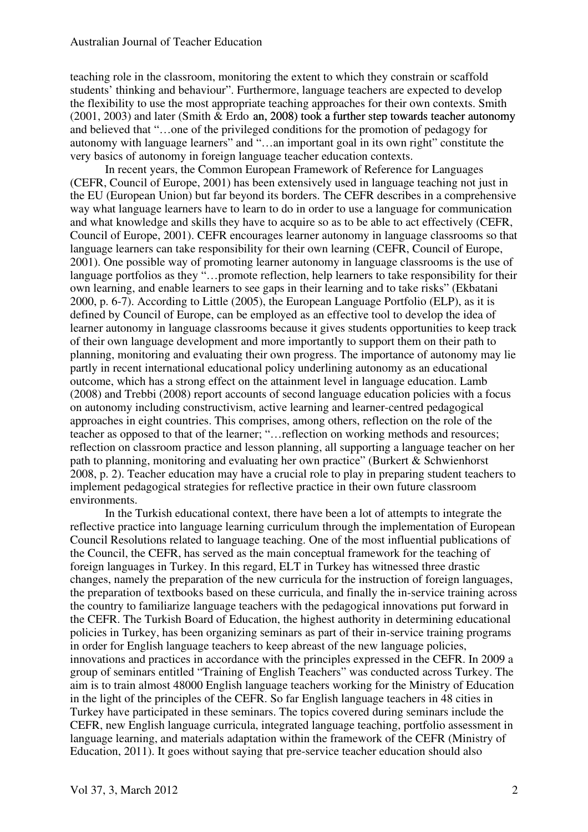teaching role in the classroom, monitoring the extent to which they constrain or scaffold students' thinking and behaviour". Furthermore, language teachers are expected to develop the flexibility to use the most appropriate teaching approaches for their own contexts. Smith  $(2001, 2003)$  and later (Smith & Erdo an, 2008) took a further step towards teacher autonomy and believed that "…one of the privileged conditions for the promotion of pedagogy for autonomy with language learners" and "…an important goal in its own right" constitute the very basics of autonomy in foreign language teacher education contexts.

In recent years, the Common European Framework of Reference for Languages (CEFR, Council of Europe, 2001) has been extensively used in language teaching not just in the EU (European Union) but far beyond its borders. The CEFR describes in a comprehensive way what language learners have to learn to do in order to use a language for communication and what knowledge and skills they have to acquire so as to be able to act effectively (CEFR, Council of Europe, 2001). CEFR encourages learner autonomy in language classrooms so that language learners can take responsibility for their own learning (CEFR, Council of Europe, 2001). One possible way of promoting learner autonomy in language classrooms is the use of language portfolios as they "…promote reflection, help learners to take responsibility for their own learning, and enable learners to see gaps in their learning and to take risks" (Ekbatani 2000, p. 6-7). According to Little (2005), the European Language Portfolio (ELP), as it is defined by Council of Europe, can be employed as an effective tool to develop the idea of learner autonomy in language classrooms because it gives students opportunities to keep track of their own language development and more importantly to support them on their path to planning, monitoring and evaluating their own progress. The importance of autonomy may lie partly in recent international educational policy underlining autonomy as an educational outcome, which has a strong effect on the attainment level in language education. Lamb (2008) and Trebbi (2008) report accounts of second language education policies with a focus on autonomy including constructivism, active learning and learner-centred pedagogical approaches in eight countries. This comprises, among others, reflection on the role of the teacher as opposed to that of the learner; "…reflection on working methods and resources; reflection on classroom practice and lesson planning, all supporting a language teacher on her path to planning, monitoring and evaluating her own practice" (Burkert & Schwienhorst 2008, p. 2). Teacher education may have a crucial role to play in preparing student teachers to implement pedagogical strategies for reflective practice in their own future classroom environments.

In the Turkish educational context, there have been a lot of attempts to integrate the reflective practice into language learning curriculum through the implementation of European Council Resolutions related to language teaching. One of the most influential publications of the Council, the CEFR, has served as the main conceptual framework for the teaching of foreign languages in Turkey. In this regard, ELT in Turkey has witnessed three drastic changes, namely the preparation of the new curricula for the instruction of foreign languages, the preparation of textbooks based on these curricula, and finally the in-service training across the country to familiarize language teachers with the pedagogical innovations put forward in the CEFR. The Turkish Board of Education, the highest authority in determining educational policies in Turkey, has been organizing seminars as part of their in-service training programs in order for English language teachers to keep abreast of the new language policies, innovations and practices in accordance with the principles expressed in the CEFR. In 2009 a group of seminars entitled "Training of English Teachers" was conducted across Turkey. The aim is to train almost 48000 English language teachers working for the Ministry of Education in the light of the principles of the CEFR. So far English language teachers in 48 cities in Turkey have participated in these seminars. The topics covered during seminars include the CEFR, new English language curricula, integrated language teaching, portfolio assessment in language learning, and materials adaptation within the framework of the CEFR (Ministry of Education, 2011). It goes without saying that pre-service teacher education should also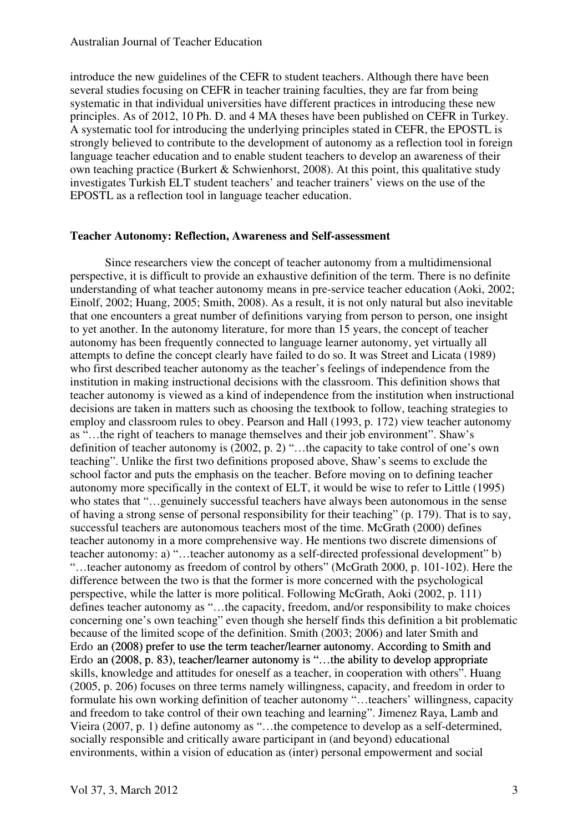introduce the new guidelines of the CEFR to student teachers. Although there have been several studies focusing on CEFR in teacher training faculties, they are far from being systematic in that individual universities have different practices in introducing these new principles. As of 2012, 10 Ph. D. and 4 MA theses have been published on CEFR in Turkey. A systematic tool for introducing the underlying principles stated in CEFR, the EPOSTL is strongly believed to contribute to the development of autonomy as a reflection tool in foreign language teacher education and to enable student teachers to develop an awareness of their own teaching practice (Burkert  $&$  Schwienhorst, 2008). At this point, this qualitative study investigates Turkish ELT student teachers' and teacher trainers' views on the use of the EPOSTL as a reflection tool in language teacher education.

#### **Teacher Autonomy: Reflection, Awareness and Self-assessment**

Since researchers view the concept of teacher autonomy from a multidimensional perspective, it is difficult to provide an exhaustive definition of the term. There is no definite understanding of what teacher autonomy means in pre-service teacher education (Aoki, 2002; Einolf, 2002; Huang, 2005; Smith, 2008). As a result, it is not only natural but also inevitable that one encounters a great number of definitions varying from person to person, one insight to yet another. In the autonomy literature, for more than 15 years, the concept of teacher autonomy has been frequently connected to language learner autonomy, yet virtually all attempts to define the concept clearly have failed to do so. It was Street and Licata (1989) who first described teacher autonomy as the teacher's feelings of independence from the institution in making instructional decisions with the classroom. This definition shows that teacher autonomy is viewed as a kind of independence from the institution when instructional decisions are taken in matters such as choosing the textbook to follow, teaching strategies to employ and classroom rules to obey. Pearson and Hall (1993, p. 172) view teacher autonomy as "…the right of teachers to manage themselves and their job environment". Shaw's definition of teacher autonomy is (2002, p. 2) "…the capacity to take control of one's own teaching". Unlike the first two definitions proposed above, Shaw's seems to exclude the school factor and puts the emphasis on the teacher. Before moving on to defining teacher autonomy more specifically in the context of ELT, it would be wise to refer to Little (1995) who states that "…genuinely successful teachers have always been autonomous in the sense of having a strong sense of personal responsibility for their teaching" (p. 179). That is to say, successful teachers are autonomous teachers most of the time. McGrath (2000) defines teacher autonomy in a more comprehensive way. He mentions two discrete dimensions of teacher autonomy: a) "…teacher autonomy as a self-directed professional development" b) "…teacher autonomy as freedom of control by others" (McGrath 2000, p. 101-102). Here the difference between the two is that the former is more concerned with the psychological perspective, while the latter is more political. Following McGrath, Aoki (2002, p. 111) defines teacher autonomy as "…the capacity, freedom, and/or responsibility to make choices concerning one's own teaching" even though she herself finds this definition a bit problematic because of the limited scope of the definition. Smith (2003; 2006) and later Smith and Erdo an (2008) prefer to use the term teacher/learner autonomy. According to Smith and Erdo an (2008, p. 83), teacher/learner autonomy is "…the ability to develop appropriate skills, knowledge and attitudes for oneself as a teacher, in cooperation with others". Huang (2005, p. 206) focuses on three terms namely willingness, capacity, and freedom in order to formulate his own working definition of teacher autonomy "…teachers' willingness, capacity and freedom to take control of their own teaching and learning". Jimenez Raya, Lamb and Vieira (2007, p. 1) define autonomy as "…the competence to develop as a self-determined, socially responsible and critically aware participant in (and beyond) educational environments, within a vision of education as (inter) personal empowerment and social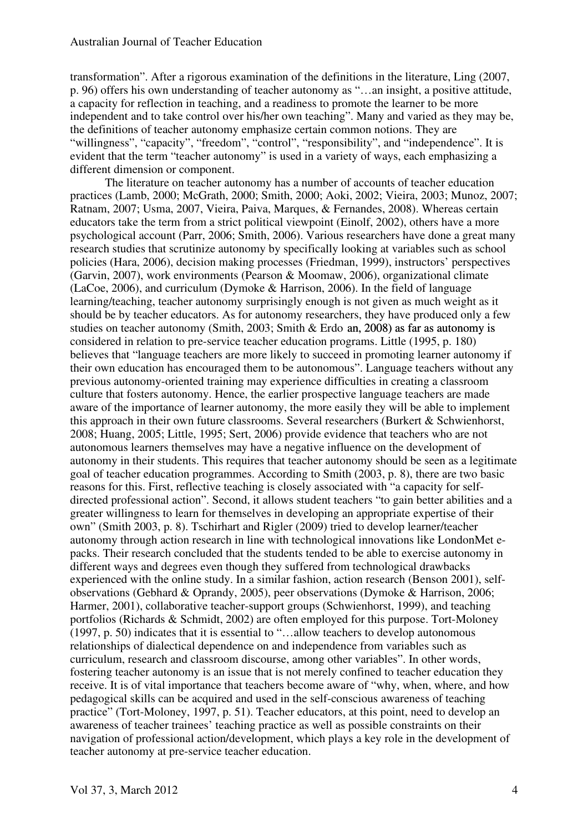transformation". After a rigorous examination of the definitions in the literature, Ling (2007, p. 96) offers his own understanding of teacher autonomy as "…an insight, a positive attitude, a capacity for reflection in teaching, and a readiness to promote the learner to be more independent and to take control over his/her own teaching". Many and varied as they may be, the definitions of teacher autonomy emphasize certain common notions. They are "willingness", "capacity", "freedom", "control", "responsibility", and "independence". It is evident that the term "teacher autonomy" is used in a variety of ways, each emphasizing a different dimension or component.

The literature on teacher autonomy has a number of accounts of teacher education practices (Lamb, 2000; McGrath, 2000; Smith, 2000; Aoki, 2002; Vieira, 2003; Munoz, 2007; Ratnam, 2007; Usma, 2007, Vieira, Paiva, Marques, & Fernandes, 2008). Whereas certain educators take the term from a strict political viewpoint (Einolf, 2002), others have a more psychological account (Parr, 2006; Smith, 2006). Various researchers have done a great many research studies that scrutinize autonomy by specifically looking at variables such as school policies (Hara, 2006), decision making processes (Friedman, 1999), instructors' perspectives (Garvin, 2007), work environments (Pearson & Moomaw, 2006), organizational climate (LaCoe, 2006), and curriculum (Dymoke & Harrison, 2006). In the field of language learning/teaching, teacher autonomy surprisingly enough is not given as much weight as it should be by teacher educators. As for autonomy researchers, they have produced only a few studies on teacher autonomy (Smith, 2003; Smith  $&$  Erdo an, 2008) as far as autonomy is considered in relation to pre-service teacher education programs. Little (1995, p. 180) believes that "language teachers are more likely to succeed in promoting learner autonomy if their own education has encouraged them to be autonomous". Language teachers without any previous autonomy-oriented training may experience difficulties in creating a classroom culture that fosters autonomy. Hence, the earlier prospective language teachers are made aware of the importance of learner autonomy, the more easily they will be able to implement this approach in their own future classrooms. Several researchers (Burkert & Schwienhorst, 2008; Huang, 2005; Little, 1995; Sert, 2006) provide evidence that teachers who are not autonomous learners themselves may have a negative influence on the development of autonomy in their students. This requires that teacher autonomy should be seen as a legitimate goal of teacher education programmes. According to Smith (2003, p. 8), there are two basic reasons for this. First, reflective teaching is closely associated with "a capacity for selfdirected professional action". Second, it allows student teachers "to gain better abilities and a greater willingness to learn for themselves in developing an appropriate expertise of their own" (Smith 2003, p. 8). Tschirhart and Rigler (2009) tried to develop learner/teacher autonomy through action research in line with technological innovations like LondonMet epacks. Their research concluded that the students tended to be able to exercise autonomy in different ways and degrees even though they suffered from technological drawbacks experienced with the online study. In a similar fashion, action research (Benson 2001), selfobservations (Gebhard & Oprandy, 2005), peer observations (Dymoke & Harrison, 2006; Harmer, 2001), collaborative teacher-support groups (Schwienhorst, 1999), and teaching portfolios (Richards & Schmidt, 2002) are often employed for this purpose. Tort-Moloney (1997, p. 50) indicates that it is essential to "…allow teachers to develop autonomous relationships of dialectical dependence on and independence from variables such as curriculum, research and classroom discourse, among other variables". In other words, fostering teacher autonomy is an issue that is not merely confined to teacher education they receive. It is of vital importance that teachers become aware of "why, when, where, and how pedagogical skills can be acquired and used in the self-conscious awareness of teaching practice" (Tort-Moloney, 1997, p. 51). Teacher educators, at this point, need to develop an awareness of teacher trainees' teaching practice as well as possible constraints on their navigation of professional action/development, which plays a key role in the development of teacher autonomy at pre-service teacher education.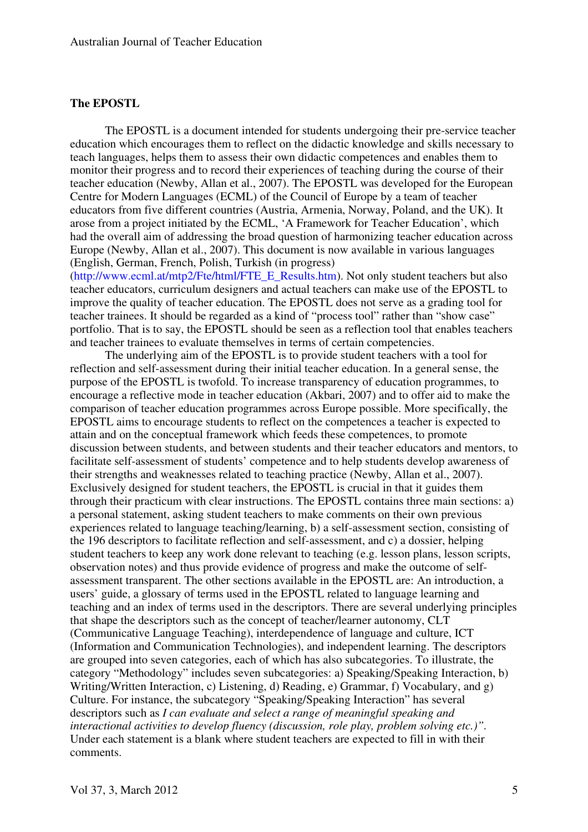#### **The EPOSTL**

The EPOSTL is a document intended for students undergoing their pre-service teacher education which encourages them to reflect on the didactic knowledge and skills necessary to teach languages, helps them to assess their own didactic competences and enables them to monitor their progress and to record their experiences of teaching during the course of their teacher education (Newby, Allan et al., 2007). The EPOSTL was developed for the European Centre for Modern Languages (ECML) of the Council of Europe by a team of teacher educators from five different countries (Austria, Armenia, Norway, Poland, and the UK). It arose from a project initiated by the ECML, 'A Framework for Teacher Education', which had the overall aim of addressing the broad question of harmonizing teacher education across Europe (Newby, Allan et al., 2007). This document is now available in various languages (English, German, French, Polish, Turkish (in progress)

(http://www.ecml.at/mtp2/Fte/html/FTE\_E\_Results.htm). Not only student teachers but also teacher educators, curriculum designers and actual teachers can make use of the EPOSTL to improve the quality of teacher education. The EPOSTL does not serve as a grading tool for teacher trainees. It should be regarded as a kind of "process tool" rather than "show case" portfolio. That is to say, the EPOSTL should be seen as a reflection tool that enables teachers and teacher trainees to evaluate themselves in terms of certain competencies.

The underlying aim of the EPOSTL is to provide student teachers with a tool for reflection and self-assessment during their initial teacher education. In a general sense, the purpose of the EPOSTL is twofold. To increase transparency of education programmes, to encourage a reflective mode in teacher education (Akbari, 2007) and to offer aid to make the comparison of teacher education programmes across Europe possible. More specifically, the EPOSTL aims to encourage students to reflect on the competences a teacher is expected to attain and on the conceptual framework which feeds these competences, to promote discussion between students, and between students and their teacher educators and mentors, to facilitate self-assessment of students' competence and to help students develop awareness of their strengths and weaknesses related to teaching practice (Newby, Allan et al., 2007). Exclusively designed for student teachers, the EPOSTL is crucial in that it guides them through their practicum with clear instructions. The EPOSTL contains three main sections: a) a personal statement, asking student teachers to make comments on their own previous experiences related to language teaching/learning, b) a self-assessment section, consisting of the 196 descriptors to facilitate reflection and self-assessment, and c) a dossier, helping student teachers to keep any work done relevant to teaching (e.g. lesson plans, lesson scripts, observation notes) and thus provide evidence of progress and make the outcome of selfassessment transparent. The other sections available in the EPOSTL are: An introduction, a users' guide, a glossary of terms used in the EPOSTL related to language learning and teaching and an index of terms used in the descriptors. There are several underlying principles that shape the descriptors such as the concept of teacher/learner autonomy, CLT (Communicative Language Teaching), interdependence of language and culture, ICT (Information and Communication Technologies), and independent learning. The descriptors are grouped into seven categories, each of which has also subcategories. To illustrate, the category "Methodology" includes seven subcategories: a) Speaking/Speaking Interaction, b) Writing/Written Interaction, c) Listening, d) Reading, e) Grammar, f) Vocabulary, and g) Culture. For instance, the subcategory "Speaking/Speaking Interaction" has several descriptors such as *I can evaluate and select a range of meaningful speaking and interactional activities to develop fluency (discussion, role play, problem solving etc.)".*  Under each statement is a blank where student teachers are expected to fill in with their comments.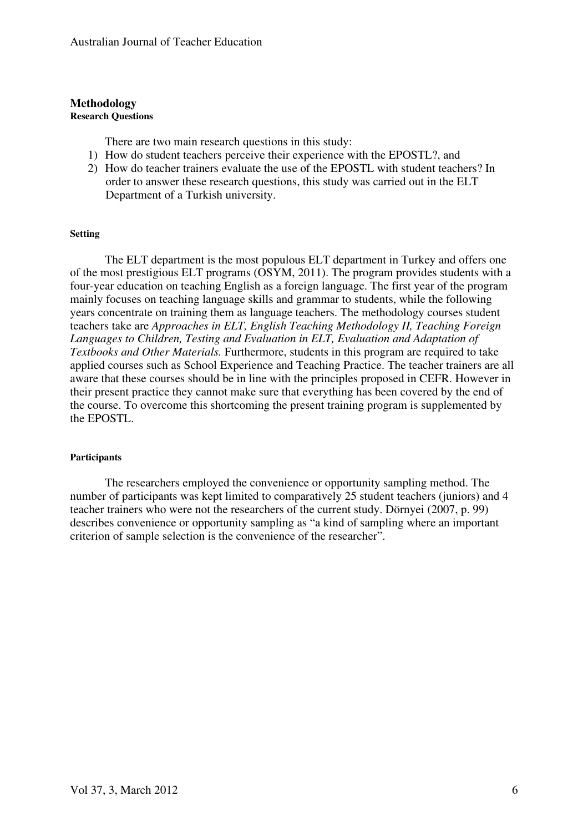#### **Methodology Research Questions**

There are two main research questions in this study:

- 1) How do student teachers perceive their experience with the EPOSTL?, and
- 2) How do teacher trainers evaluate the use of the EPOSTL with student teachers? In order to answer these research questions, this study was carried out in the ELT Department of a Turkish university.

#### **Setting**

The ELT department is the most populous ELT department in Turkey and offers one of the most prestigious ELT programs (OSYM, 2011). The program provides students with a four-year education on teaching English as a foreign language. The first year of the program mainly focuses on teaching language skills and grammar to students, while the following years concentrate on training them as language teachers. The methodology courses student teachers take are *Approaches in ELT, English Teaching Methodology II, Teaching Foreign Languages to Children, Testing and Evaluation in ELT, Evaluation and Adaptation of Textbooks and Other Materials.* Furthermore, students in this program are required to take applied courses such as School Experience and Teaching Practice. The teacher trainers are all aware that these courses should be in line with the principles proposed in CEFR. However in their present practice they cannot make sure that everything has been covered by the end of the course. To overcome this shortcoming the present training program is supplemented by the EPOSTL.

#### **Participants**

The researchers employed the convenience or opportunity sampling method. The number of participants was kept limited to comparatively 25 student teachers (juniors) and 4 teacher trainers who were not the researchers of the current study. Dörnyei (2007, p. 99) describes convenience or opportunity sampling as "a kind of sampling where an important criterion of sample selection is the convenience of the researcher".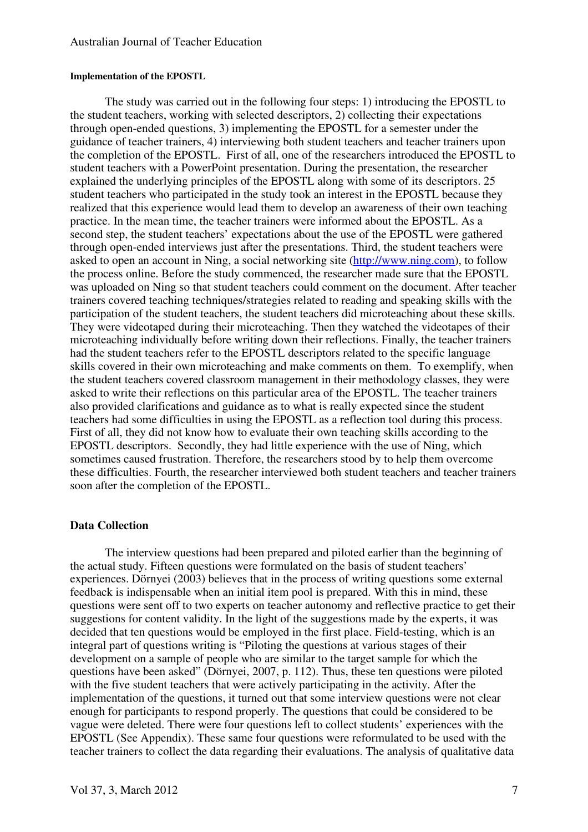#### **Implementation of the EPOSTL**

The study was carried out in the following four steps: 1) introducing the EPOSTL to the student teachers, working with selected descriptors, 2) collecting their expectations through open-ended questions, 3) implementing the EPOSTL for a semester under the guidance of teacher trainers, 4) interviewing both student teachers and teacher trainers upon the completion of the EPOSTL. First of all, one of the researchers introduced the EPOSTL to student teachers with a PowerPoint presentation. During the presentation, the researcher explained the underlying principles of the EPOSTL along with some of its descriptors. 25 student teachers who participated in the study took an interest in the EPOSTL because they realized that this experience would lead them to develop an awareness of their own teaching practice. In the mean time, the teacher trainers were informed about the EPOSTL. As a second step, the student teachers' expectations about the use of the EPOSTL were gathered through open-ended interviews just after the presentations. Third, the student teachers were asked to open an account in Ning, a social networking site (http://www.ning.com), to follow the process online. Before the study commenced, the researcher made sure that the EPOSTL was uploaded on Ning so that student teachers could comment on the document. After teacher trainers covered teaching techniques/strategies related to reading and speaking skills with the participation of the student teachers, the student teachers did microteaching about these skills. They were videotaped during their microteaching. Then they watched the videotapes of their microteaching individually before writing down their reflections. Finally, the teacher trainers had the student teachers refer to the EPOSTL descriptors related to the specific language skills covered in their own microteaching and make comments on them. To exemplify, when the student teachers covered classroom management in their methodology classes, they were asked to write their reflections on this particular area of the EPOSTL. The teacher trainers also provided clarifications and guidance as to what is really expected since the student teachers had some difficulties in using the EPOSTL as a reflection tool during this process. First of all, they did not know how to evaluate their own teaching skills according to the EPOSTL descriptors. Secondly, they had little experience with the use of Ning, which sometimes caused frustration. Therefore, the researchers stood by to help them overcome these difficulties. Fourth, the researcher interviewed both student teachers and teacher trainers soon after the completion of the EPOSTL.

#### **Data Collection**

The interview questions had been prepared and piloted earlier than the beginning of the actual study. Fifteen questions were formulated on the basis of student teachers' experiences. Dörnyei (2003) believes that in the process of writing questions some external feedback is indispensable when an initial item pool is prepared. With this in mind, these questions were sent off to two experts on teacher autonomy and reflective practice to get their suggestions for content validity. In the light of the suggestions made by the experts, it was decided that ten questions would be employed in the first place. Field-testing, which is an integral part of questions writing is "Piloting the questions at various stages of their development on a sample of people who are similar to the target sample for which the questions have been asked" (Dörnyei, 2007, p. 112). Thus, these ten questions were piloted with the five student teachers that were actively participating in the activity. After the implementation of the questions, it turned out that some interview questions were not clear enough for participants to respond properly. The questions that could be considered to be vague were deleted. There were four questions left to collect students' experiences with the EPOSTL (See Appendix). These same four questions were reformulated to be used with the teacher trainers to collect the data regarding their evaluations. The analysis of qualitative data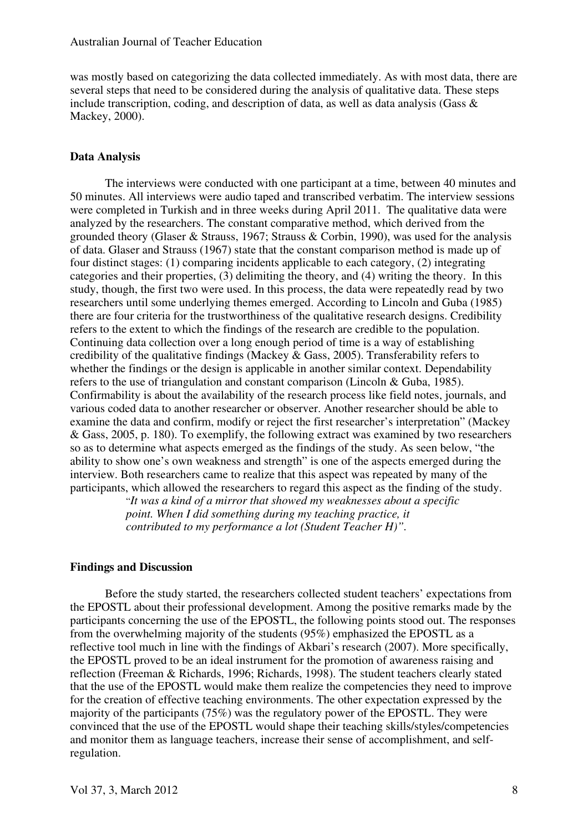was mostly based on categorizing the data collected immediately. As with most data, there are several steps that need to be considered during the analysis of qualitative data. These steps include transcription, coding, and description of data, as well as data analysis (Gass & Mackey, 2000).

#### **Data Analysis**

The interviews were conducted with one participant at a time, between 40 minutes and 50 minutes. All interviews were audio taped and transcribed verbatim. The interview sessions were completed in Turkish and in three weeks during April 2011. The qualitative data were analyzed by the researchers. The constant comparative method, which derived from the grounded theory (Glaser & Strauss, 1967; Strauss & Corbin, 1990), was used for the analysis of data. Glaser and Strauss (1967) state that the constant comparison method is made up of four distinct stages: (1) comparing incidents applicable to each category, (2) integrating categories and their properties, (3) delimiting the theory, and (4) writing the theory. In this study, though, the first two were used. In this process, the data were repeatedly read by two researchers until some underlying themes emerged. According to Lincoln and Guba (1985) there are four criteria for the trustworthiness of the qualitative research designs. Credibility refers to the extent to which the findings of the research are credible to the population. Continuing data collection over a long enough period of time is a way of establishing credibility of the qualitative findings (Mackey & Gass, 2005). Transferability refers to whether the findings or the design is applicable in another similar context. Dependability refers to the use of triangulation and constant comparison (Lincoln & Guba, 1985). Confirmability is about the availability of the research process like field notes, journals, and various coded data to another researcher or observer. Another researcher should be able to examine the data and confirm, modify or reject the first researcher's interpretation" (Mackey & Gass, 2005, p. 180). To exemplify, the following extract was examined by two researchers so as to determine what aspects emerged as the findings of the study. As seen below, "the ability to show one's own weakness and strength" is one of the aspects emerged during the interview. Both researchers came to realize that this aspect was repeated by many of the participants, which allowed the researchers to regard this aspect as the finding of the study.

"*It was a kind of a mirror that showed my weaknesses about a specific point. When I did something during my teaching practice, it contributed to my performance a lot (Student Teacher H)".* 

#### **Findings and Discussion**

Before the study started, the researchers collected student teachers' expectations from the EPOSTL about their professional development. Among the positive remarks made by the participants concerning the use of the EPOSTL, the following points stood out. The responses from the overwhelming majority of the students (95%) emphasized the EPOSTL as a reflective tool much in line with the findings of Akbari's research (2007). More specifically, the EPOSTL proved to be an ideal instrument for the promotion of awareness raising and reflection (Freeman & Richards, 1996; Richards, 1998). The student teachers clearly stated that the use of the EPOSTL would make them realize the competencies they need to improve for the creation of effective teaching environments. The other expectation expressed by the majority of the participants (75%) was the regulatory power of the EPOSTL. They were convinced that the use of the EPOSTL would shape their teaching skills/styles/competencies and monitor them as language teachers, increase their sense of accomplishment, and selfregulation.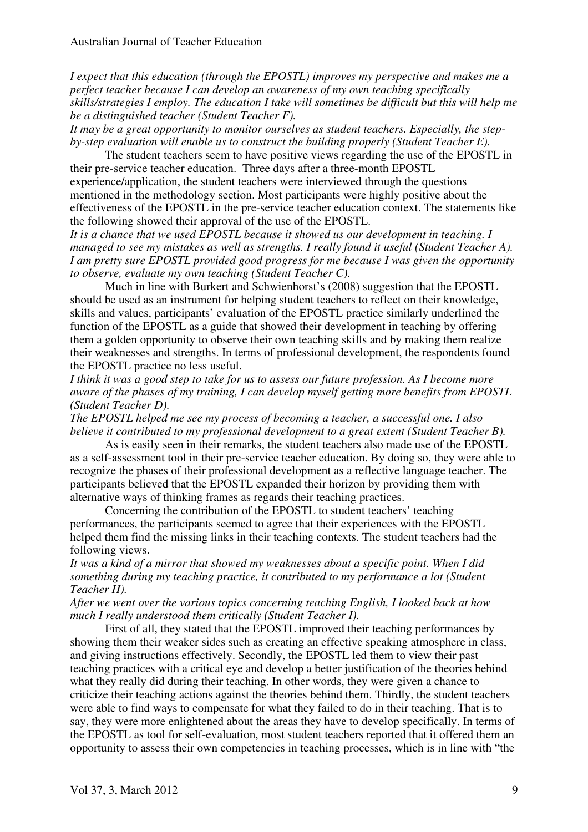*I expect that this education (through the EPOSTL) improves my perspective and makes me a perfect teacher because I can develop an awareness of my own teaching specifically skills/strategies I employ. The education I take will sometimes be difficult but this will help me be a distinguished teacher (Student Teacher F).* 

*It may be a great opportunity to monitor ourselves as student teachers. Especially, the stepby-step evaluation will enable us to construct the building properly (Student Teacher E).* 

The student teachers seem to have positive views regarding the use of the EPOSTL in their pre-service teacher education. Three days after a three-month EPOSTL experience/application, the student teachers were interviewed through the questions mentioned in the methodology section. Most participants were highly positive about the effectiveness of the EPOSTL in the pre-service teacher education context. The statements like the following showed their approval of the use of the EPOSTL.

*It is a chance that we used EPOSTL because it showed us our development in teaching. I managed to see my mistakes as well as strengths. I really found it useful (Student Teacher A). I am pretty sure EPOSTL provided good progress for me because I was given the opportunity to observe, evaluate my own teaching (Student Teacher C).* 

Much in line with Burkert and Schwienhorst's (2008) suggestion that the EPOSTL should be used as an instrument for helping student teachers to reflect on their knowledge, skills and values, participants' evaluation of the EPOSTL practice similarly underlined the function of the EPOSTL as a guide that showed their development in teaching by offering them a golden opportunity to observe their own teaching skills and by making them realize their weaknesses and strengths. In terms of professional development, the respondents found the EPOSTL practice no less useful.

*I think it was a good step to take for us to assess our future profession. As I become more aware of the phases of my training, I can develop myself getting more benefits from EPOSTL (Student Teacher D).* 

*The EPOSTL helped me see my process of becoming a teacher, a successful one. I also believe it contributed to my professional development to a great extent (Student Teacher B).* 

As is easily seen in their remarks, the student teachers also made use of the EPOSTL as a self-assessment tool in their pre-service teacher education. By doing so, they were able to recognize the phases of their professional development as a reflective language teacher. The participants believed that the EPOSTL expanded their horizon by providing them with alternative ways of thinking frames as regards their teaching practices.

Concerning the contribution of the EPOSTL to student teachers' teaching performances, the participants seemed to agree that their experiences with the EPOSTL helped them find the missing links in their teaching contexts. The student teachers had the following views.

*It was a kind of a mirror that showed my weaknesses about a specific point. When I did something during my teaching practice, it contributed to my performance a lot (Student Teacher H).* 

*After we went over the various topics concerning teaching English, I looked back at how much I really understood them critically (Student Teacher I).* 

First of all, they stated that the EPOSTL improved their teaching performances by showing them their weaker sides such as creating an effective speaking atmosphere in class, and giving instructions effectively. Secondly, the EPOSTL led them to view their past teaching practices with a critical eye and develop a better justification of the theories behind what they really did during their teaching. In other words, they were given a chance to criticize their teaching actions against the theories behind them. Thirdly, the student teachers were able to find ways to compensate for what they failed to do in their teaching. That is to say, they were more enlightened about the areas they have to develop specifically. In terms of the EPOSTL as tool for self-evaluation, most student teachers reported that it offered them an opportunity to assess their own competencies in teaching processes, which is in line with "the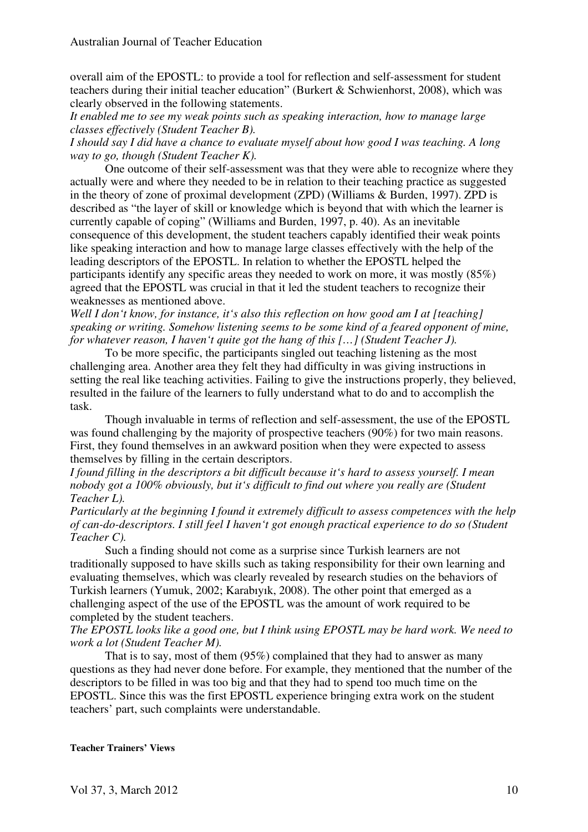overall aim of the EPOSTL: to provide a tool for reflection and self-assessment for student teachers during their initial teacher education" (Burkert & Schwienhorst, 2008), which was clearly observed in the following statements.

*It enabled me to see my weak points such as speaking interaction, how to manage large classes effectively (Student Teacher B).* 

*I should say I did have a chance to evaluate myself about how good I was teaching. A long way to go, though (Student Teacher K).* 

One outcome of their self-assessment was that they were able to recognize where they actually were and where they needed to be in relation to their teaching practice as suggested in the theory of zone of proximal development (ZPD) (Williams & Burden, 1997). ZPD is described as "the layer of skill or knowledge which is beyond that with which the learner is currently capable of coping" (Williams and Burden, 1997, p. 40). As an inevitable consequence of this development, the student teachers capably identified their weak points like speaking interaction and how to manage large classes effectively with the help of the leading descriptors of the EPOSTL. In relation to whether the EPOSTL helped the participants identify any specific areas they needed to work on more, it was mostly (85%) agreed that the EPOSTL was crucial in that it led the student teachers to recognize their weaknesses as mentioned above.

*Well I don't know, for instance, it's also this reflection on how good am I at [teaching] speaking or writing. Somehow listening seems to be some kind of a feared opponent of mine, for whatever reason, I haven't quite got the hang of this […] (Student Teacher J).* 

To be more specific, the participants singled out teaching listening as the most challenging area. Another area they felt they had difficulty in was giving instructions in setting the real like teaching activities. Failing to give the instructions properly, they believed, resulted in the failure of the learners to fully understand what to do and to accomplish the task.

Though invaluable in terms of reflection and self-assessment, the use of the EPOSTL was found challenging by the majority of prospective teachers (90%) for two main reasons. First, they found themselves in an awkward position when they were expected to assess themselves by filling in the certain descriptors.

*I found filling in the descriptors a bit difficult because it's hard to assess yourself. I mean nobody got a 100% obviously, but it's difficult to find out where you really are (Student Teacher L).* 

*Particularly at the beginning I found it extremely difficult to assess competences with the help of can-do-descriptors. I still feel I haven't got enough practical experience to do so (Student Teacher C).* 

Such a finding should not come as a surprise since Turkish learners are not traditionally supposed to have skills such as taking responsibility for their own learning and evaluating themselves, which was clearly revealed by research studies on the behaviors of Turkish learners (Yumuk, 2002; Karabıyık, 2008). The other point that emerged as a challenging aspect of the use of the EPOSTL was the amount of work required to be completed by the student teachers.

#### *The EPOSTL looks like a good one, but I think using EPOSTL may be hard work. We need to work a lot (Student Teacher M).*

That is to say, most of them (95%) complained that they had to answer as many questions as they had never done before. For example, they mentioned that the number of the descriptors to be filled in was too big and that they had to spend too much time on the EPOSTL. Since this was the first EPOSTL experience bringing extra work on the student teachers' part, such complaints were understandable.

**Teacher Trainers' Views**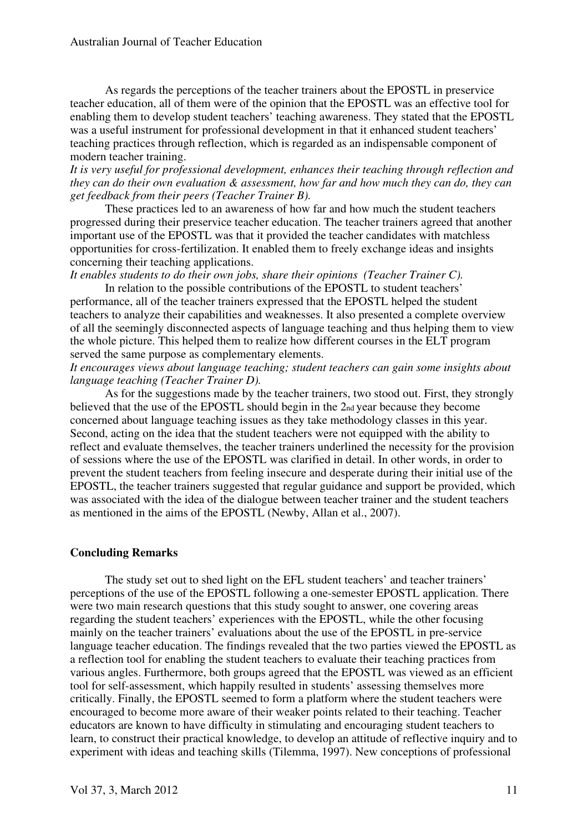As regards the perceptions of the teacher trainers about the EPOSTL in preservice teacher education, all of them were of the opinion that the EPOSTL was an effective tool for enabling them to develop student teachers' teaching awareness. They stated that the EPOSTL was a useful instrument for professional development in that it enhanced student teachers' teaching practices through reflection, which is regarded as an indispensable component of modern teacher training.

*It is very useful for professional development, enhances their teaching through reflection and they can do their own evaluation & assessment, how far and how much they can do, they can get feedback from their peers (Teacher Trainer B).* 

These practices led to an awareness of how far and how much the student teachers progressed during their preservice teacher education. The teacher trainers agreed that another important use of the EPOSTL was that it provided the teacher candidates with matchless opportunities for cross-fertilization. It enabled them to freely exchange ideas and insights concerning their teaching applications.

*It enables students to do their own jobs, share their opinions (Teacher Trainer C).* 

In relation to the possible contributions of the EPOSTL to student teachers' performance, all of the teacher trainers expressed that the EPOSTL helped the student teachers to analyze their capabilities and weaknesses. It also presented a complete overview of all the seemingly disconnected aspects of language teaching and thus helping them to view the whole picture. This helped them to realize how different courses in the ELT program served the same purpose as complementary elements.

*It encourages views about language teaching; student teachers can gain some insights about language teaching (Teacher Trainer D).* 

As for the suggestions made by the teacher trainers, two stood out. First, they strongly believed that the use of the EPOSTL should begin in the 2nd year because they become concerned about language teaching issues as they take methodology classes in this year. Second, acting on the idea that the student teachers were not equipped with the ability to reflect and evaluate themselves, the teacher trainers underlined the necessity for the provision of sessions where the use of the EPOSTL was clarified in detail. In other words, in order to prevent the student teachers from feeling insecure and desperate during their initial use of the EPOSTL, the teacher trainers suggested that regular guidance and support be provided, which was associated with the idea of the dialogue between teacher trainer and the student teachers as mentioned in the aims of the EPOSTL (Newby, Allan et al., 2007).

#### **Concluding Remarks**

The study set out to shed light on the EFL student teachers' and teacher trainers' perceptions of the use of the EPOSTL following a one-semester EPOSTL application. There were two main research questions that this study sought to answer, one covering areas regarding the student teachers' experiences with the EPOSTL, while the other focusing mainly on the teacher trainers' evaluations about the use of the EPOSTL in pre-service language teacher education. The findings revealed that the two parties viewed the EPOSTL as a reflection tool for enabling the student teachers to evaluate their teaching practices from various angles. Furthermore, both groups agreed that the EPOSTL was viewed as an efficient tool for self-assessment, which happily resulted in students' assessing themselves more critically. Finally, the EPOSTL seemed to form a platform where the student teachers were encouraged to become more aware of their weaker points related to their teaching. Teacher educators are known to have difficulty in stimulating and encouraging student teachers to learn, to construct their practical knowledge, to develop an attitude of reflective inquiry and to experiment with ideas and teaching skills (Tilemma, 1997). New conceptions of professional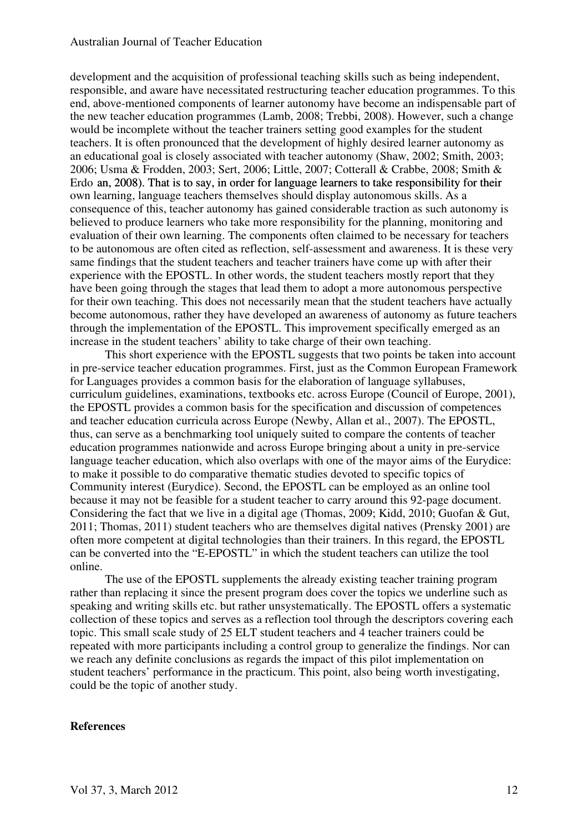#### Australian Journal of Teacher Education

development and the acquisition of professional teaching skills such as being independent, responsible, and aware have necessitated restructuring teacher education programmes. To this end, above-mentioned components of learner autonomy have become an indispensable part of the new teacher education programmes (Lamb, 2008; Trebbi, 2008). However, such a change would be incomplete without the teacher trainers setting good examples for the student teachers. It is often pronounced that the development of highly desired learner autonomy as an educational goal is closely associated with teacher autonomy (Shaw, 2002; Smith, 2003; 2006; Usma & Frodden, 2003; Sert, 2006; Little, 2007; Cotterall & Crabbe, 2008; Smith & Erdo an, 2008). That is to say, in order for language learners to take responsibility for their own learning, language teachers themselves should display autonomous skills. As a consequence of this, teacher autonomy has gained considerable traction as such autonomy is believed to produce learners who take more responsibility for the planning, monitoring and evaluation of their own learning. The components often claimed to be necessary for teachers to be autonomous are often cited as reflection, self-assessment and awareness. It is these very same findings that the student teachers and teacher trainers have come up with after their experience with the EPOSTL. In other words, the student teachers mostly report that they have been going through the stages that lead them to adopt a more autonomous perspective for their own teaching. This does not necessarily mean that the student teachers have actually become autonomous, rather they have developed an awareness of autonomy as future teachers through the implementation of the EPOSTL. This improvement specifically emerged as an increase in the student teachers' ability to take charge of their own teaching.

This short experience with the EPOSTL suggests that two points be taken into account in pre-service teacher education programmes. First, just as the Common European Framework for Languages provides a common basis for the elaboration of language syllabuses, curriculum guidelines, examinations, textbooks etc. across Europe (Council of Europe, 2001), the EPOSTL provides a common basis for the specification and discussion of competences and teacher education curricula across Europe (Newby, Allan et al., 2007). The EPOSTL, thus, can serve as a benchmarking tool uniquely suited to compare the contents of teacher education programmes nationwide and across Europe bringing about a unity in pre-service language teacher education, which also overlaps with one of the mayor aims of the Eurydice: to make it possible to do comparative thematic studies devoted to specific topics of Community interest (Eurydice). Second, the EPOSTL can be employed as an online tool because it may not be feasible for a student teacher to carry around this 92-page document. Considering the fact that we live in a digital age (Thomas, 2009; Kidd, 2010; Guofan & Gut, 2011; Thomas, 2011) student teachers who are themselves digital natives (Prensky 2001) are often more competent at digital technologies than their trainers. In this regard, the EPOSTL can be converted into the "E-EPOSTL" in which the student teachers can utilize the tool online.

The use of the EPOSTL supplements the already existing teacher training program rather than replacing it since the present program does cover the topics we underline such as speaking and writing skills etc. but rather unsystematically. The EPOSTL offers a systematic collection of these topics and serves as a reflection tool through the descriptors covering each topic. This small scale study of 25 ELT student teachers and 4 teacher trainers could be repeated with more participants including a control group to generalize the findings. Nor can we reach any definite conclusions as regards the impact of this pilot implementation on student teachers' performance in the practicum. This point, also being worth investigating, could be the topic of another study.

#### **References**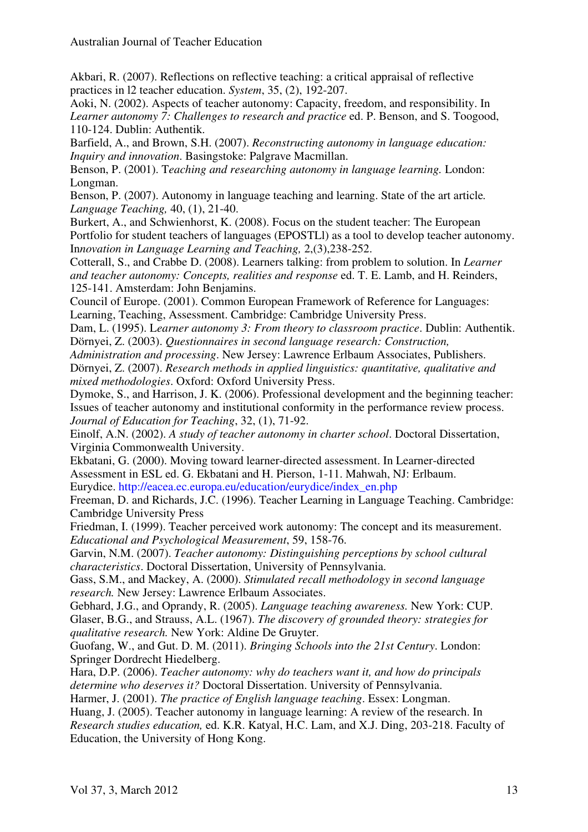Akbari, R. (2007). Reflections on reflective teaching: a critical appraisal of reflective practices in l2 teacher education. *System*, 35, (2), 192-207.

Aoki, N. (2002). Aspects of teacher autonomy: Capacity, freedom, and responsibility. In *Learner autonomy 7: Challenges to research and practice* ed. P. Benson, and S. Toogood, 110-124. Dublin: Authentik.

Barfield, A., and Brown, S.H. (2007). *Reconstructing autonomy in language education: Inquiry and innovation*. Basingstoke: Palgrave Macmillan.

Benson, P. (2001). T*eaching and researching autonomy in language learning.* London: Longman.

Benson, P. (2007). Autonomy in language teaching and learning. State of the art article*. Language Teaching,* 40, (1), 21-40.

Burkert, A., and Schwienhorst, K. (2008). Focus on the student teacher: The European Portfolio for student teachers of languages (EPOSTLl) as a tool to develop teacher autonomy. In*novation in Language Learning and Teaching,* 2,(3),238-252.

Cotterall, S., and Crabbe D. (2008). Learners talking: from problem to solution. In *Learner and teacher autonomy: Concepts, realities and response* ed. T. E. Lamb, and H. Reinders, 125-141. Amsterdam: John Benjamins.

Council of Europe. (2001). Common European Framework of Reference for Languages: Learning, Teaching, Assessment. Cambridge: Cambridge University Press.

Dam, L. (1995). L*earner autonomy 3: From theory to classroom practice*. Dublin: Authentik. Dörnyei, Z. (2003). *Questionnaires in second language research: Construction,* 

*Administration and processing*. New Jersey: Lawrence Erlbaum Associates, Publishers. Dörnyei, Z. (2007). *Research methods in applied linguistics: quantitative, qualitative and mixed methodologies*. Oxford: Oxford University Press.

Dymoke, S., and Harrison, J. K. (2006). Professional development and the beginning teacher: Issues of teacher autonomy and institutional conformity in the performance review process. *Journal of Education for Teaching*, 32, (1), 71-92.

Einolf, A.N. (2002). *A study of teacher autonomy in charter school*. Doctoral Dissertation, Virginia Commonwealth University.

Ekbatani, G. (2000). Moving toward learner-directed assessment. In Learner-directed Assessment in ESL ed. G. Ekbatani and H. Pierson, 1-11. Mahwah, NJ: Erlbaum. Eurydice. http://eacea.ec.europa.eu/education/eurydice/index\_en.php

Freeman, D. and Richards, J.C. (1996). Teacher Learning in Language Teaching. Cambridge: Cambridge University Press

Friedman, I. (1999). Teacher perceived work autonomy: The concept and its measurement. *Educational and Psychological Measurement*, 59, 158-76.

Garvin, N.M. (2007). *Teacher autonomy: Distinguishing perceptions by school cultural characteristics*. Doctoral Dissertation, University of Pennsylvania.

Gass, S.M., and Mackey, A. (2000). *Stimulated recall methodology in second language research.* New Jersey: Lawrence Erlbaum Associates.

Gebhard, J.G., and Oprandy, R. (2005). *Language teaching awareness.* New York: CUP. Glaser, B.G., and Strauss, A.L. (1967). *The discovery of grounded theory: strategies for qualitative research.* New York: Aldine De Gruyter.

Guofang, W., and Gut. D. M. (2011). *Bringing Schools into the 21st Century*. London: Springer Dordrecht Hiedelberg.

Hara, D.P. (2006). *Teacher autonomy: why do teachers want it, and how do principals determine who deserves it?* Doctoral Dissertation. University of Pennsylvania.

Harmer, J. (2001). *The practice of English language teaching*. Essex: Longman.

Huang, J. (2005). Teacher autonomy in language learning: A review of the research. In *Research studies education,* ed. K.R. Katyal, H.C. Lam, and X.J. Ding, 203-218. Faculty of Education, the University of Hong Kong.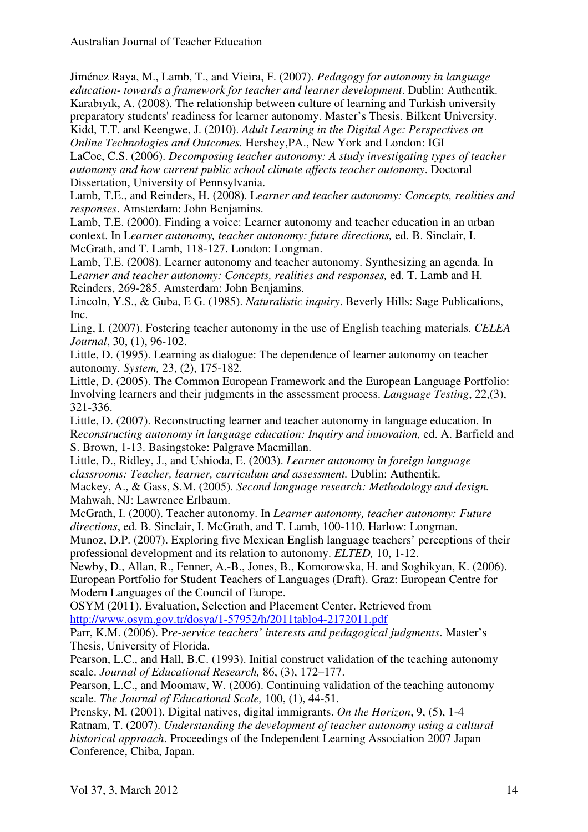Australian Journal of Teacher Education

Jiménez Raya, M., Lamb, T., and Vieira, F. (2007). *Pedagogy for autonomy in language education- towards a framework for teacher and learner development*. Dublin: Authentik. Karabıyık, A. (2008). The relationship between culture of learning and Turkish university preparatory students' readiness for learner autonomy. Master's Thesis. Bilkent University. Kidd, T.T. and Keengwe, J. (2010). *Adult Learning in the Digital Age: Perspectives on* 

*Online Technologies and Outcomes.* Hershey,PA., New York and London: IGI LaCoe, C.S. (2006). *Decomposing teacher autonomy: A study investigating types of teacher autonomy and how current public school climate affects teacher autonomy*. Doctoral Dissertation, University of Pennsylvania.

Lamb, T.E., and Reinders, H. (2008). L*earner and teacher autonomy: Concepts, realities and responses*. Amsterdam: John Benjamins.

Lamb, T.E. (2000). Finding a voice: Learner autonomy and teacher education in an urban context. In L*earner autonomy, teacher autonomy: future directions,* ed. B. Sinclair, I. McGrath, and T. Lamb, 118-127. London: Longman.

Lamb, T.E. (2008). Learner autonomy and teacher autonomy. Synthesizing an agenda. In L*earner and teacher autonomy: Concepts, realities and responses,* ed. T. Lamb and H. Reinders, 269-285. Amsterdam: John Benjamins.

Lincoln, Y.S., & Guba, E G. (1985). *Naturalistic inquiry*. Beverly Hills: Sage Publications, Inc.

Ling, I. (2007). Fostering teacher autonomy in the use of English teaching materials. *CELEA Journal*, 30, (1), 96-102.

Little, D. (1995). Learning as dialogue: The dependence of learner autonomy on teacher autonomy*. System,* 23, (2), 175-182.

Little, D. (2005). The Common European Framework and the European Language Portfolio: Involving learners and their judgments in the assessment process. *Language Testing*, 22,(3), 321-336.

Little, D. (2007). Reconstructing learner and teacher autonomy in language education. In R*econstructing autonomy in language education: Inquiry and innovation,* ed. A. Barfield and S. Brown, 1-13. Basingstoke: Palgrave Macmillan.

Little, D., Ridley, J., and Ushioda, E. (2003). *Learner autonomy in foreign language classrooms: Teacher, learner, curriculum and assessment.* Dublin: Authentik.

Mackey, A., & Gass, S.M. (2005). *Second language research: Methodology and design.* Mahwah, NJ: Lawrence Erlbaum.

McGrath, I. (2000). Teacher autonomy. In *Learner autonomy, teacher autonomy: Future directions*, ed. B. Sinclair, I. McGrath, and T. Lamb, 100-110. Harlow: Longman*.* 

Munoz, D.P. (2007). Exploring five Mexican English language teachers' perceptions of their professional development and its relation to autonomy. *ELTED,* 10, 1-12.

Newby, D., Allan, R., Fenner, A.-B., Jones, B., Komorowska, H. and Soghikyan, K. (2006). European Portfolio for Student Teachers of Languages (Draft). Graz: European Centre for Modern Languages of the Council of Europe.

OSYM (2011). Evaluation, Selection and Placement Center. Retrieved from http://www.osym.gov.tr/dosya/1-57952/h/2011tablo4-2172011.pdf

Parr, K.M. (2006). P*re-service teachers' interests and pedagogical judgments*. Master's Thesis, University of Florida.

Pearson, L.C., and Hall, B.C. (1993). Initial construct validation of the teaching autonomy scale. *Journal of Educational Research,* 86, (3), 172–177.

Pearson, L.C., and Moomaw, W. (2006). Continuing validation of the teaching autonomy scale. *The Journal of Educational Scale,* 100, (1), 44-51.

Prensky, M. (2001). Digital natives, digital immigrants. *On the Horizon*, 9, (5), 1-4 Ratnam, T. (2007). *Understanding the development of teacher autonomy using a cultural historical approach*. Proceedings of the Independent Learning Association 2007 Japan Conference, Chiba, Japan.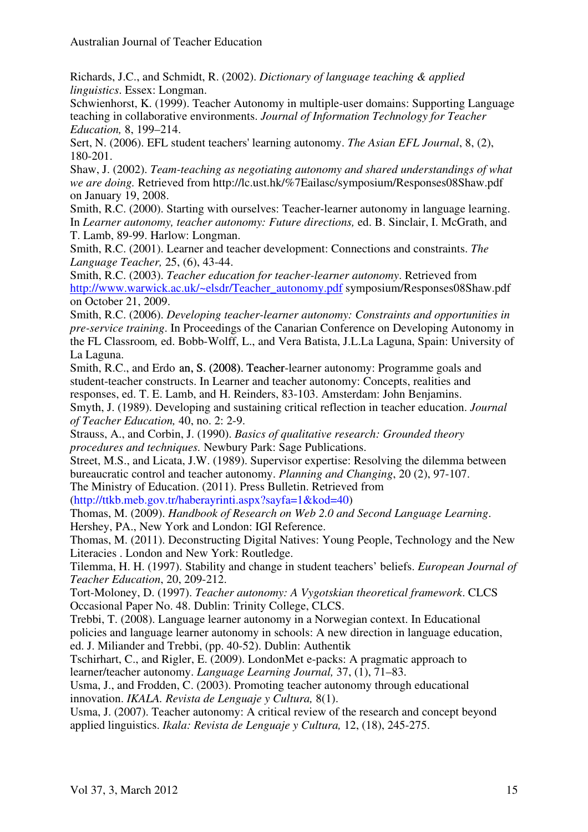Richards, J.C., and Schmidt, R. (2002). *Dictionary of language teaching & applied linguistics*. Essex: Longman.

Schwienhorst, K. (1999). Teacher Autonomy in multiple-user domains: Supporting Language teaching in collaborative environments. *Journal of Information Technology for Teacher Education,* 8, 199–214.

Sert, N. (2006). EFL student teachers' learning autonomy. *The Asian EFL Journal*, 8, (2), 180-201.

Shaw, J. (2002). *Team-teaching as negotiating autonomy and shared understandings of what we are doing.* Retrieved from http://lc.ust.hk/%7Eailasc/symposium/Responses08Shaw.pdf on January 19, 2008.

Smith, R.C. (2000). Starting with ourselves: Teacher-learner autonomy in language learning. In *Learner autonomy, teacher autonomy: Future directions, ed. B. Sinclair, I. McGrath, and* T. Lamb, 89-99. Harlow: Longman.

Smith, R.C. (2001). Learner and teacher development: Connections and constraints. *The Language Teacher,* 25, (6), 43-44.

Smith, R.C. (2003). *Teacher education for teacher-learner autonomy*. Retrieved from http://www.warwick.ac.uk/~elsdr/Teacher\_autonomy.pdf symposium/Responses08Shaw.pdf on October 21, 2009.

Smith, R.C. (2006). *Developing teacher-learner autonomy: Constraints and opportunities in pre-service training*. In Proceedings of the Canarian Conference on Developing Autonomy in the FL Classroom*,* ed. Bobb-Wolff, L., and Vera Batista, J.L.La Laguna, Spain: University of La Laguna.

Smith, R.C., and Erdo an, S. (2008). Teacher-learner autonomy: Programme goals and student-teacher constructs. In Learner and teacher autonomy: Concepts, realities and responses, ed. T. E. Lamb, and H. Reinders, 83-103. Amsterdam: John Benjamins.

Smyth, J. (1989). Developing and sustaining critical reflection in teacher education. *Journal of Teacher Education,* 40, no. 2: 2-9.

Strauss, A., and Corbin, J. (1990). *Basics of qualitative research: Grounded theory procedures and techniques.* Newbury Park: Sage Publications.

Street, M.S., and Licata, J.W. (1989). Supervisor expertise: Resolving the dilemma between bureaucratic control and teacher autonomy. *Planning and Changing*, 20 (2), 97-107. The Ministry of Education. (2011). Press Bulletin. Retrieved from

(http://ttkb.meb.gov.tr/haberayrinti.aspx?sayfa=1&kod=40)

Thomas, M. (2009). *Handbook of Research on Web 2.0 and Second Language Learning*. Hershey, PA., New York and London: IGI Reference.

Thomas, M. (2011). Deconstructing Digital Natives: Young People, Technology and the New Literacies . London and New York: Routledge.

Tilemma, H. H. (1997). Stability and change in student teachers' beliefs. *European Journal of Teacher Education*, 20, 209-212.

Tort-Moloney, D. (1997). *Teacher autonomy: A Vygotskian theoretical framework*. CLCS Occasional Paper No. 48. Dublin: Trinity College, CLCS.

Trebbi, T. (2008). Language learner autonomy in a Norwegian context. In Educational policies and language learner autonomy in schools: A new direction in language education, ed. J. Miliander and Trebbi, (pp. 40-52). Dublin: Authentik

Tschirhart, C., and Rigler, E. (2009). LondonMet e-packs: A pragmatic approach to learner/teacher autonomy. *Language Learning Journal,* 37, (1), 71–83.

Usma, J., and Frodden, C. (2003). Promoting teacher autonomy through educational innovation. *IKALA. Revista de Lenguaje y Cultura,* 8(1).

Usma, J. (2007). Teacher autonomy: A critical review of the research and concept beyond applied linguistics. *Ikala: Revista de Lenguaje y Cultura,* 12, (18), 245-275.